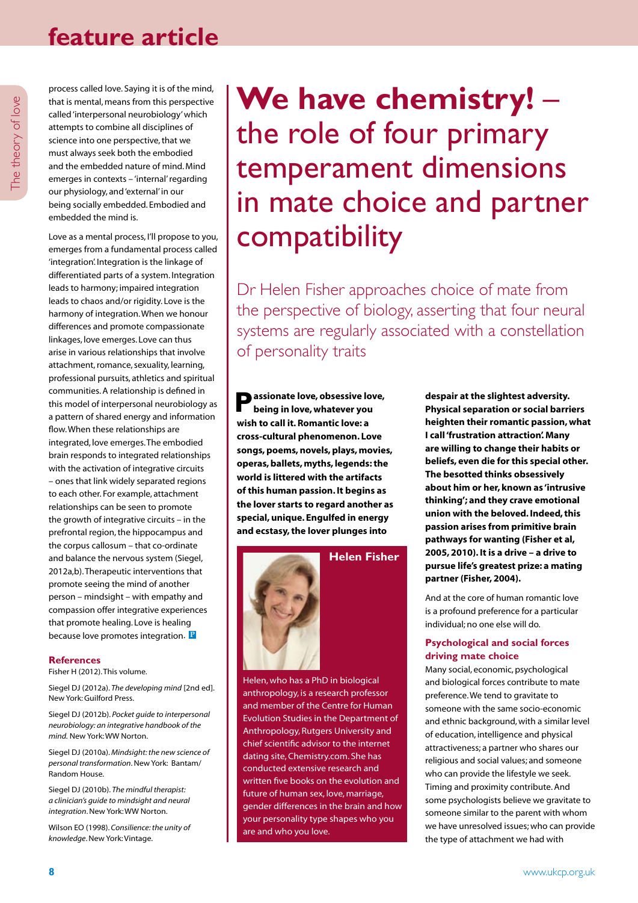# **feature article**

process called love. Saying it is of the mind, that is mental, means from this perspective called 'interpersonal neurobiology' which attempts to combine all disciplines of science into one perspective, that we must always seek both the embodied and the embedded nature of mind. Mind emerges in contexts – 'internal' regarding our physiology, and 'external' in our being socially embedded. Embodied and embedded the mind is.

Love as a mental process, I'll propose to you, emerges from a fundamental process called 'integration'. Integration is the linkage of differentiated parts of a system. Integration leads to harmony; impaired integration leads to chaos and/or rigidity. Love is the harmony of integration. When we honour differences and promote compassionate linkages, love emerges. Love can thus arise in various relationships that involve attachment, romance, sexuality, learning, professional pursuits, athletics and spiritual communities. A relationship is defined in this model of interpersonal neurobiology as a pattern of shared energy and information flow. When these relationships are integrated, love emerges. The embodied brain responds to integrated relationships with the activation of integrative circuits – ones that link widely separated regions to each other. For example, attachment relationships can be seen to promote the growth of integrative circuits – in the prefrontal region, the hippocampus and the corpus callosum – that co-ordinate and balance the nervous system (Siegel, 2012a,b). Therapeutic interventions that promote seeing the mind of another person – mindsight – with empathy and compassion offer integrative experiences that promote healing. Love is healing because love promotes integration. **P**

#### **References**

Fisher H (2012). This volume.

Siegel DJ (2012a). *The developing mind* [2nd ed]. New York: Guilford Press.

Siegel DJ (2012b). *Pocket guide to interpersonal neurobiology: an integrative handbook of the mind.* New York: WW Norton.

Siegel DJ (2010a). *Mindsight: the new science of personal transformation*. New York: Bantam/ Random House.

Siegel DJ (2010b). *The mindful therapist: a clinician's guide to mindsight and neural integration*. New York: WW Norton.

Wilson EO (1998). *Consilience: the unity of knowledge*. New York: Vintage.

**We have chemistry!** – the role of four primary temperament dimensions in mate choice and partner compatibility

Dr Helen Fisher approaches choice of mate from the perspective of biology, asserting that four neural systems are regularly associated with a constellation of personality traits

**Passionate love, obsessive love, being in love, whatever you wish to call it. Romantic love: a cross-cultural phenomenon. Love songs, poems, novels, plays, movies, operas, ballets, myths, legends: the world is littered with the artifacts of this human passion. It begins as the lover starts to regard another as special, unique. Engulfed in energy and ecstasy, the lover plunges into** 



**Helen Fisher**

Helen, who has a PhD in biological anthropology, is a research professor and member of the Centre for Human Evolution Studies in the Department of Anthropology, Rutgers University and chief scientific advisor to the internet dating site, Chemistry.com. She has conducted extensive research and written five books on the evolution and future of human sex, love, marriage, gender differences in the brain and how your personality type shapes who you are and who you love.

**despair at the slightest adversity. Physical separation or social barriers heighten their romantic passion, what I call 'frustration attraction'. Many are willing to change their habits or beliefs, even die for this special other. The besotted thinks obsessively about him or her, known as 'intrusive thinking'; and they crave emotional union with the beloved. Indeed, this passion arises from primitive brain pathways for wanting (Fisher et al, 2005, 2010). It is a drive – a drive to pursue life's greatest prize: a mating partner (Fisher, 2004).**

And at the core of human romantic love is a profound preference for a particular individual; no one else will do.

#### **Psychological and social forces driving mate choice**

Many social, economic, psychological and biological forces contribute to mate preference. We tend to gravitate to someone with the same socio-economic and ethnic background, with a similar level of education, intelligence and physical attractiveness; a partner who shares our religious and social values; and someone who can provide the lifestyle we seek. Timing and proximity contribute. And some psychologists believe we gravitate to someone similar to the parent with whom we have unresolved issues; who can provide the type of attachment we had with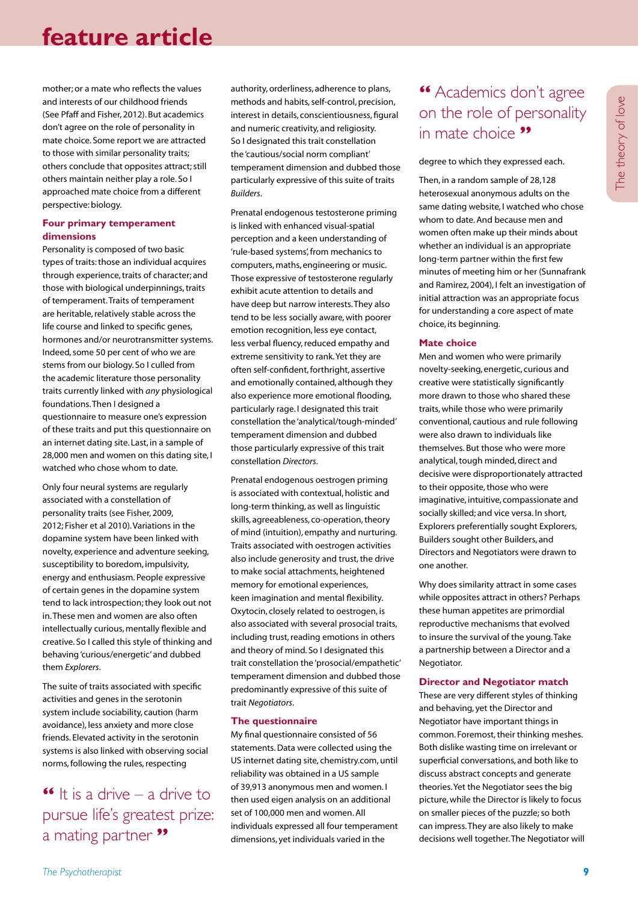# **feature article**

mother; or a mate who reflects the values and interests of our childhood friends (See Pfaff and Fisher, 2012). But academics don't agree on the role of personality in mate choice. Some report we are attracted to those with similar personality traits; others conclude that opposites attract; still others maintain neither play a role. So I approached mate choice from a different perspective: biology.

#### **Four primary temperament dimensions**

Personality is composed of two basic types of traits: those an individual acquires through experience, traits of character; and those with biological underpinnings, traits of temperament. Traits of temperament are heritable, relatively stable across the life course and linked to specific genes, hormones and/or neurotransmitter systems. Indeed, some 50 per cent of who we are stems from our biology. So I culled from the academic literature those personality traits currently linked with *any* physiological foundations. Then I designed a questionnaire to measure one's expression of these traits and put this questionnaire on an internet dating site. Last, in a sample of 28,000 men and women on this dating site, I watched who chose whom to date.

Only four neural systems are regularly associated with a constellation of personality traits (see Fisher, 2009, 2012; Fisher et al 2010). Variations in the dopamine system have been linked with novelty, experience and adventure seeking, susceptibility to boredom, impulsivity, energy and enthusiasm. People expressive of certain genes in the dopamine system tend to lack introspection; they look out not in. These men and women are also often intellectually curious, mentally flexible and creative. So I called this style of thinking and behaving 'curious/energetic' and dubbed them *Explorers*.

The suite of traits associated with specific activities and genes in the serotonin system include sociability, caution (harm avoidance), less anxiety and more close friends. Elevated activity in the serotonin systems is also linked with observing social norms, following the rules, respecting

### $\bullet$  It is a drive – a drive to pursue life's greatest prize: a mating partner **"**

authority, orderliness, adherence to plans, methods and habits, self-control, precision, interest in details, conscientiousness, figural and numeric creativity, and religiosity. So I designated this trait constellation the 'cautious/social norm compliant' temperament dimension and dubbed those particularly expressive of this suite of traits *Builders*.

Prenatal endogenous testosterone priming is linked with enhanced visual-spatial perception and a keen understanding of 'rule-based systems', from mechanics to computers, maths, engineering or music. Those expressive of testosterone regularly exhibit acute attention to details and have deep but narrow interests. They also tend to be less socially aware, with poorer emotion recognition, less eye contact, less verbal fluency, reduced empathy and extreme sensitivity to rank. Yet they are often self-confident, forthright, assertive and emotionally contained, although they also experience more emotional flooding, particularly rage. I designated this trait constellation the 'analytical/tough-minded' temperament dimension and dubbed those particularly expressive of this trait constellation *Directors*.

Prenatal endogenous oestrogen priming is associated with contextual, holistic and long-term thinking, as well as linguistic skills, agreeableness, co-operation, theory of mind (intuition), empathy and nurturing. Traits associated with oestrogen activities also include generosity and trust, the drive to make social attachments, heightened memory for emotional experiences, keen imagination and mental flexibility. Oxytocin, closely related to oestrogen, is also associated with several prosocial traits, including trust, reading emotions in others and theory of mind. So I designated this trait constellation the 'prosocial/empathetic' temperament dimension and dubbed those predominantly expressive of this suite of trait *Negotiators*.

#### **The questionnaire**

My final questionnaire consisted of 56 statements. Data were collected using the US internet dating site, chemistry.com, until reliability was obtained in a US sample of 39,913 anonymous men and women. I then used eigen analysis on an additional set of 100,000 men and women. All individuals expressed all four temperament dimensions, yet individuals varied in the

## **"** Academics don't agree on the role of personality in mate choice **"**

degree to which they expressed each.

Then, in a random sample of 28,128 heterosexual anonymous adults on the same dating website, I watched who chose whom to date. And because men and women often make up their minds about whether an individual is an appropriate long-term partner within the first few minutes of meeting him or her (Sunnafrank and Ramirez, 2004), I felt an investigation of initial attraction was an appropriate focus for understanding a core aspect of mate choice, its beginning.

#### **Mate choice**

Men and women who were primarily novelty-seeking, energetic, curious and creative were statistically significantly more drawn to those who shared these traits, while those who were primarily conventional, cautious and rule following were also drawn to individuals like themselves. But those who were more analytical, tough minded, direct and decisive were disproportionately attracted to their opposite, those who were imaginative, intuitive, compassionate and socially skilled; and vice versa. In short, Explorers preferentially sought Explorers, Builders sought other Builders, and Directors and Negotiators were drawn to one another.

Why does similarity attract in some cases while opposites attract in others? Perhaps these human appetites are primordial reproductive mechanisms that evolved to insure the survival of the young. Take a partnership between a Director and a Negotiator.

#### **Director and Negotiator match**

These are very different styles of thinking and behaving, yet the Director and Negotiator have important things in common. Foremost, their thinking meshes. Both dislike wasting time on irrelevant or superficial conversations, and both like to discuss abstract concepts and generate theories. Yet the Negotiator sees the big picture, while the Director is likely to focus on smaller pieces of the puzzle; so both can impress. They are also likely to make decisions well together. The Negotiator will